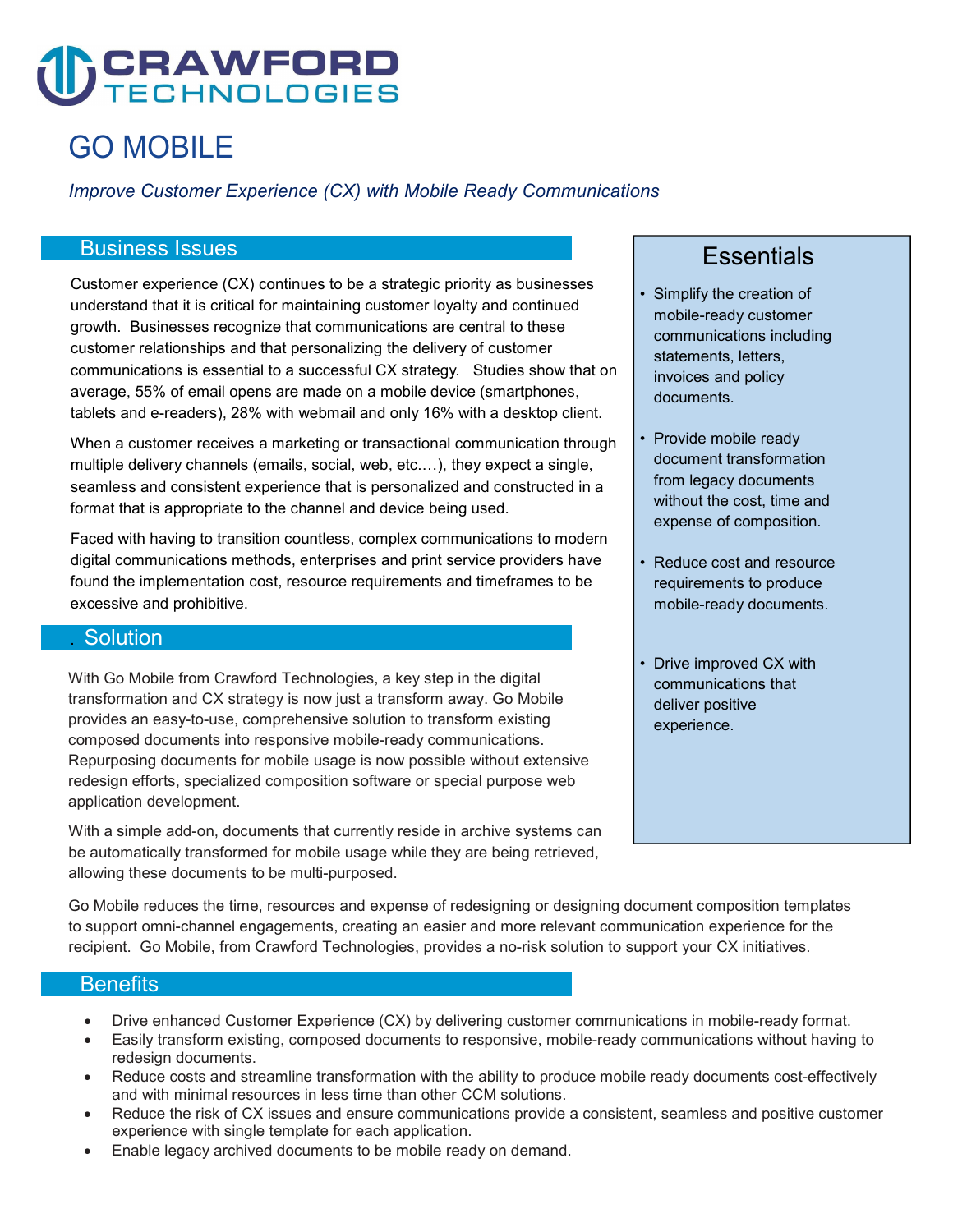# **CRAWFORD**

## GO MOBILE

Improve Customer Experience (CX) with Mobile Ready Communications

#### Business Issues

 Customer experience (CX) continues to be a strategic priority as businesses understand that it is critical for maintaining customer loyalty and continued growth. Businesses recognize that communications are central to these customer relationships and that personalizing the delivery of customer communications is essential to a successful CX strategy. Studies show that on average, 55% of email opens are made on a mobile device (smartphones, tablets and e-readers), 28% with webmail and only 16% with a desktop client.

 When a customer receives a marketing or transactional communication through multiple delivery channels (emails, social, web, etc.…), they expect a single, seamless and consistent experience that is personalized and constructed in a format that is appropriate to the channel and device being used.

 Faced with having to transition countless, complex communications to modern digital communications methods, enterprises and print service providers have found the implementation cost, resource requirements and timeframes to be excessive and prohibitive.

#### . Solution

 With Go Mobile from Crawford Technologies, a key step in the digital transformation and CX strategy is now just a transform away. Go Mobile provides an easy-to-use, comprehensive solution to transform existing composed documents into responsive mobile-ready communications. Repurposing documents for mobile usage is now possible without extensive redesign efforts, specialized composition software or special purpose web application development.

With a simple add-on, documents that currently reside in archive systems can be automatically transformed for mobile usage while they are being retrieved, allowing these documents to be multi-purposed.

### **Essentials**

- Simplify the creation of mobile-ready customer communications including statements, letters, invoices and policy documents.
- Provide mobile ready document transformation from legacy documents without the cost, time and expense of composition.
- • Reduce cost and resource requirements to produce mobile-ready documents.
- • Drive improved CX with communications that deliver positive experience.

 Go Mobile reduces the time, resources and expense of redesigning or designing document composition templates to support omni-channel engagements, creating an easier and more relevant communication experience for the recipient. Go Mobile, from Crawford Technologies, provides a no-risk solution to support your CX initiatives.

#### **Benefits**

- Drive enhanced Customer Experience (CX) by delivering customer communications in mobile-ready format.
- Easily transform existing, composed documents to responsive, mobile-ready communications without having to redesign documents.
- Reduce costs and streamline transformation with the ability to produce mobile ready documents cost-effectively and with minimal resources in less time than other CCM solutions.
- Reduce the risk of CX issues and ensure communications provide a consistent, seamless and positive customer experience with single template for each application.
- Enable legacy archived documents to be mobile ready on demand.